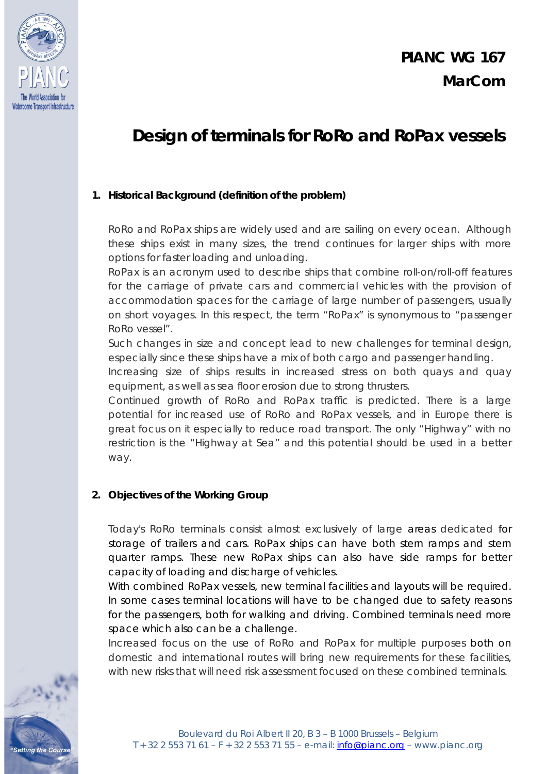

ting the Cours

# **Design of terminals for RoRo and RoPax vessels**

### **1. Historical Background (definition of the problem)**

RoRo and RoPax ships are widely used and are sailing on every ocean. Although these ships exist in many sizes, the trend continues for larger ships with more options for faster loading and unloading.

RoPax is an acronym used to describe ships that combine roll-on/roll-off features for the carriage of private cars and commercial vehicles with the provision of accommodation spaces for the carriage of large number of passengers, usually on short voyages. In this respect, the term "RoPax" is synonymous to "passenger RoRo vessel".

Such changes in size and concept lead to new challenges for terminal design, especially since these ships have a mix of both cargo and passenger handling.

Increasing size of ships results in increased stress on both quays and quay equipment, as well as sea floor erosion due to strong thrusters.

Continued growth of RoRo and RoPax traffic is predicted. There is a large potential for increased use of RoRo and RoPax vessels, and in Europe there is great focus on it especially to reduce road transport. The only "Highway" with no restriction is the "Highway at Sea" and this potential should be used in a better way.

#### **2. Objectives of the Working Group**

Today's RoRo terminals consist almost exclusively of large areas dedicated for storage of trailers and cars. RoPax ships can have both stern ramps and stern quarter ramps. These new RoPax ships can also have side ramps for better capacity of loading and discharge of vehicles.

With combined RoPax vessels, new terminal facilities and layouts will be required. In some cases terminal locations will have to be changed due to safety reasons for the passengers, both for walking and driving. Combined terminals need more space which also can be a challenge.

Increased focus on the use of RoRo and RoPax for multiple purposes both on domestic and international routes will bring new requirements for these facilities, with new risks that will need risk assessment focused on these combined terminals.